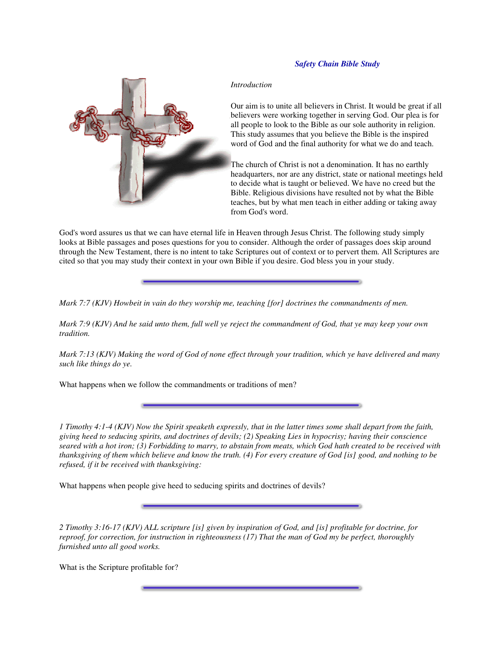## *Safety Chain Bible Study*

## *Introduction*



The church of Christ is not a denomination. It has no earthly headquarters, nor are any district, state or national meetings held to decide what is taught or believed. We have no creed but the Bible. Religious divisions have resulted not by what the Bible teaches, but by what men teach in either adding or taking away from God's word.

God's word assures us that we can have eternal life in Heaven through Jesus Christ. The following study simply looks at Bible passages and poses questions for you to consider. Although the order of passages does skip around through the New Testament, there is no intent to take Scriptures out of context or to pervert them. All Scriptures are cited so that you may study their context in your own Bible if you desire. God bless you in your study.

*Mark 7:7 (KJV) Howbeit in vain do they worship me, teaching [for] doctrines the commandments of men.*

Mark 7:9 (KJV) And he said unto them, full well ye reject the commandment of God, that ye may keep your own *tradition.*

Mark 7:13 (KJV) Making the word of God of none effect through your tradition, which ye have delivered and many *such like things do ye.*

What happens when we follow the commandments or traditions of men?

1 Timothy 4:1-4 (KJV) Now the Spirit speaketh expressly, that in the latter times some shall depart from the faith, giving heed to seducing spirits, and doctrines of devils; (2) Speaking Lies in hypocrisy; having their conscience seared with a hot iron; (3) Forbidding to marry, to abstain from meats, which God hath created to be received with thanksgiving of them which believe and know the truth. (4) For every creature of God [is] good, and nothing to be *refused, if it be received with thanksgiving:*

What happens when people give heed to seducing spirits and doctrines of devils?

2 Timothy 3:16-17 (KJV) ALL scripture [is] given by inspiration of God, and [is] profitable for doctrine, for reproof, for correction, for instruction in righteousness (17) That the man of God my be perfect, thoroughly *furnished unto all good works.*

What is the Scripture profitable for?

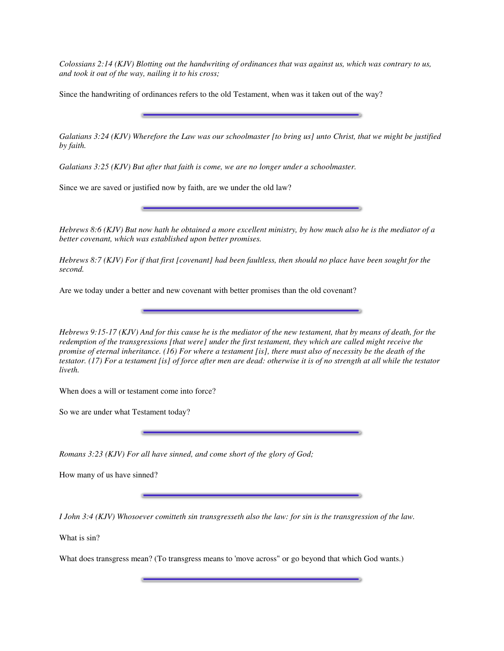Colossians 2:14 (KJV) Blotting out the handwriting of ordinances that was against us, which was contrary to us, *and took it out of the way, nailing it to his cross;*

Since the handwriting of ordinances refers to the old Testament, when was it taken out of the way?

Galatians 3:24 (KJV) Wherefore the Law was our schoolmaster [to bring us] unto Christ, that we might be justified *by faith.*

*Galatians 3:25 (KJV) But after that faith is come, we are no longer under a schoolmaster.*

Since we are saved or justified now by faith, are we under the old law?

Hebrews 8:6 (KJV) But now hath he obtained a more excellent ministry, by how much also he is the mediator of a *better covenant, which was established upon better promises.*

Hebrews 8:7 (KJV) For if that first [covenant] had been faultless, then should no place have been sought for the *second.*

Are we today under a better and new covenant with better promises than the old covenant?

Hebrews  $9:15-17$  (KJV) And for this cause he is the mediator of the new testament, that by means of death, for the redemption of the transgressions [that were] under the first testament, they which are called might receive the promise of eternal inheritance. (16) For where a testament [is], there must also of necessity be the death of the testator. (17) For a testament [is] of force after men are dead: otherwise it is of no strength at all while the testator *liveth.*

When does a will or testament come into force?

So we are under what Testament today?

*Romans 3:23 (KJV) For all have sinned, and come short of the glory of God;*

How many of us have sinned?

I John 3:4 (KJV) Whosoever comitteth sin transgresseth also the law: for sin is the transgression of the law.

What is sin?

What does transgress mean? (To transgress means to 'move across" or go beyond that which God wants.)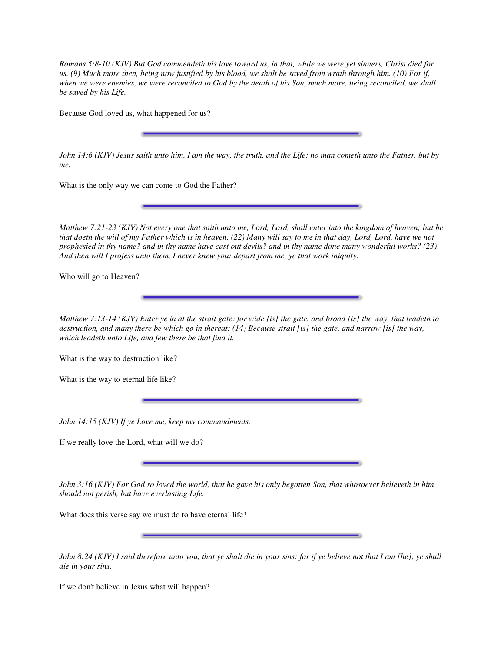Romans 5:8-10 (KJV) But God commendeth his love toward us, in that, while we were yet sinners, Christ died for us. (9) Much more then, being now justified by his blood, we shalt be saved from wrath through him. (10) For if, when we were enemies, we were reconciled to God by the death of his Son, much more, being reconciled, we shall *be saved by his Life.*

Because God loved us, what happened for us?

John 14:6 (KJV) Jesus saith unto him, I am the way, the truth, and the Life: no man cometh unto the Father, but by *me.*

What is the only way we can come to God the Father?

Matthew 7:21-23 (KJV) Not every one that saith unto me, Lord, Lord, shall enter into the kingdom of heaven; but he that doeth the will of my Father which is in heaven. (22) Many will say to me in that day, Lord, Lord, have we not prophesied in thy name? and in thy name have cast out devils? and in thy name done many wonderful works? (23) *And then will I profess unto them, I never knew you: depart from me, ye that work iniquity.*

Who will go to Heaven?

Matthew 7:13-14 (KJV) Enter ye in at the strait gate: for wide [is] the gate, and broad [is] the way, that leadeth to destruction, and many there be which go in thereat:  $(14)$  Because strait [is] the gate, and narrow [is] the way, *which leadeth unto Life, and few there be that find it.*

What is the way to destruction like?

What is the way to eternal life like?

*John 14:15 (KJV) If ye Love me, keep my commandments.*

If we really love the Lord, what will we do?

John 3:16 (KJV) For God so loved the world, that he gave his only begotten Son, that whosoever believeth in him *should not perish, but have everlasting Life.*

What does this verse say we must do to have eternal life?

John 8:24 (KJV) I said therefore unto you, that ye shalt die in your sins: for if ye believe not that I am [he], ye shall *die in your sins.*

If we don't believe in Jesus what will happen?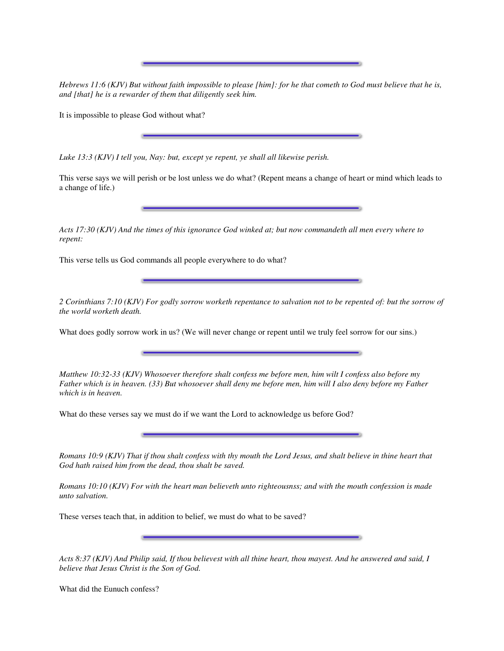Hebrews 11:6 (KJV) But without faith impossible to please [him]: for he that cometh to God must believe that he is, *and [that] he is a rewarder of them that diligently seek him.*

It is impossible to please God without what?

*Luke 13:3 (KJV) I tell you, Nay: but, except ye repent, ye shall all likewise perish.*

This verse says we will perish or be lost unless we do what? (Repent means a change of heart or mind which leads to a change of life.)

Acts 17:30 (KJV) And the times of this ignorance God winked at; but now commandeth all men every where to *repent:*

This verse tells us God commands all people everywhere to do what?

2 Corinthians 7:10 (KJV) For godly sorrow worketh repentance to salvation not to be repented of: but the sorrow of *the world worketh death.*

What does godly sorrow work in us? (We will never change or repent until we truly feel sorrow for our sins.)

*Matthew 10:32-33 (KJV) Whosoever therefore shalt confess me before men, him wilt I confess also before my* Father which is in heaven. (33) But whosoever shall deny me before men, him will I also deny before my Father *which is in heaven.*

What do these verses say we must do if we want the Lord to acknowledge us before God?

Romans 10:9 (KJV) That if thou shalt confess with thy mouth the Lord Jesus, and shalt believe in thine heart that *God hath raised him from the dead, thou shalt be saved.*

Romans 10:10 (KJV) For with the heart man believeth unto righteousnss; and with the mouth confession is made *unto salvation.*

These verses teach that, in addition to belief, we must do what to be saved?

Acts 8:37 (KJV) And Philip said, If thou believest with all thine heart, thou mayest. And he answered and said, I *believe that Jesus Christ is the Son of God.*

What did the Eunuch confess?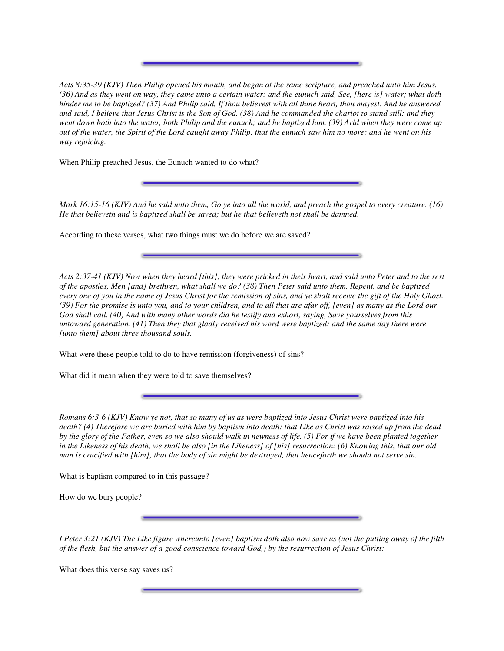Acts 8:35-39 (KJV) Then Philip opened his mouth, and began at the same scripture, and preached unto him Jesus. (36) And as they went on way, they came unto a certain water: and the eunuch said, See, [here is] water; what doth hinder me to be baptized? (37) And Philip said, If thou believest with all thine heart, thou mayest. And he answered and said, I believe that Jesus Christ is the Son of God. (38) And he commanded the chariot to stand still: and they went down both into the water, both Philip and the eunuch; and he baptized him. (39) Arid when they were come up out of the water, the Spirit of the Lord caught away Philip, that the eunuch saw him no more: and he went on his *way rejoicing.*

When Philip preached Jesus, the Eunuch wanted to do what?

Mark 16:15-16 (KJV) And he said unto them, Go ye into all the world, and preach the gospel to every creature. (16) *He that believeth and is baptized shall be saved; but he that believeth not shall be damned.*

According to these verses, what two things must we do before we are saved?

Acts 2:37-41 (KJV) Now when they heard [this], they were pricked in their heart, and said unto Peter and to the rest of the apostles, Men [and] brethren, what shall we do? (38) Then Peter said unto them, Repent, and be baptized every one of you in the name of Jesus Christ for the remission of sins, and ye shalt receive the gift of the Holy Ghost. (39) For the promise is unto you, and to your children, and to all that are afar off, [even] as many as the Lord our God shall call. (40) And with many other words did he testify and exhort, saying, Save yourselves from this untoward generation. (41) Then they that gladly received his word were baptized: and the same day there were *[unto them] about three thousand souls.*

What were these people told to do to have remission (forgiveness) of sins?

What did it mean when they were told to save themselves?

Romans 6:3-6 (KJV) Know ye not, that so many of us as were baptized into Jesus Christ were baptized into his death? (4) Therefore we are buried with him by baptism into death: that Like as Christ was raised up from the dead by the glory of the Father, even so we also should walk in newness of life. (5) For if we have been planted together in the Likeness of his death, we shall be also [in the Likeness] of [his] resurrection: (6) Knowing this, that our old man is crucified with [him], that the body of sin might be destroyed, that henceforth we should not serve sin.

What is baptism compared to in this passage?

How do we bury people?

I Peter 3:21 (KJV) The Like figure whereunto [even] baptism doth also now save us (not the putting away of the filth of the flesh, but the answer of a good conscience toward God, by the resurrection of Jesus Christ:

What does this verse say saves us?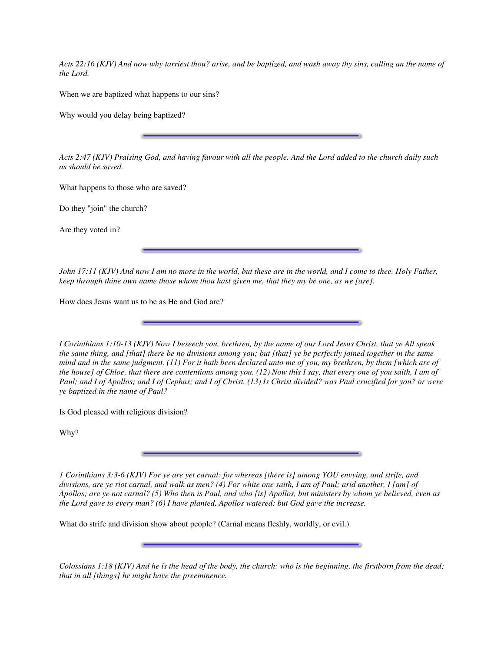Acts 22:16 (KJV) And now why tarriest thou? arise, and be baptized, and wash away thy sins, calling an the name of *the Lord.*

When we are baptized what happens to our sins?

Why would you delay being baptized?

Acts 2:47 (KJV) Praising God, and having favour with all the people. And the Lord added to the church daily such *as should be saved.*

What happens to those who are saved?

Do they "join" the church?

Are they voted in?

John 17:11 (KJV) And now I am no more in the world, but these are in the world, and I come to thee. Holy Father, keep through thine own name those whom thou hast given me, that they my be one, as we [are].

How does Jesus want us to be as He and God are?

I Corinthians 1:10-13 (KJV) Now I beseech you, brethren, by the name of our Lord Jesus Christ, that ye All speak the same thing, and [that] there be no divisions among you; but [that] ye be perfectly joined together in the same mind and in the same judgment.  $(11)$  For it hath been declared unto me of you, my brethren, by them [which are of the house] of Chloe, that there are contentions among you.  $(12)$  Now this I say, that every one of you saith, I am of Paul; and I of Apollos; and I of Cephas; and I of Christ. (13) Is Christ divided? was Paul crucified for you? or were *ye baptized in the name of Paul?*

Is God pleased with religious division?

Why?

1 Corinthians 3:3-6 (KJV) For ye are yet carnal: for whereas [there is] among YOU envying, and strife, and divisions, are ye riot carnal, and walk as men? (4) For white one saith, I am of Paul; arid another, I [am] of Apollos; are ye not carnal? (5) Who then is Paul, and who [is] Apollos, but ministers by whom ye believed, even as *the Lord gave to every man? (6) I have planted, Apollos watered; but God gave the increase.*

What do strife and division show about people? (Carnal means fleshly, worldly, or evil.)

Colossians  $1:18$  (KJV) And he is the head of the body, the church: who is the beginning, the firstborn from the dead; *that in all [things] he might have the preeminence.*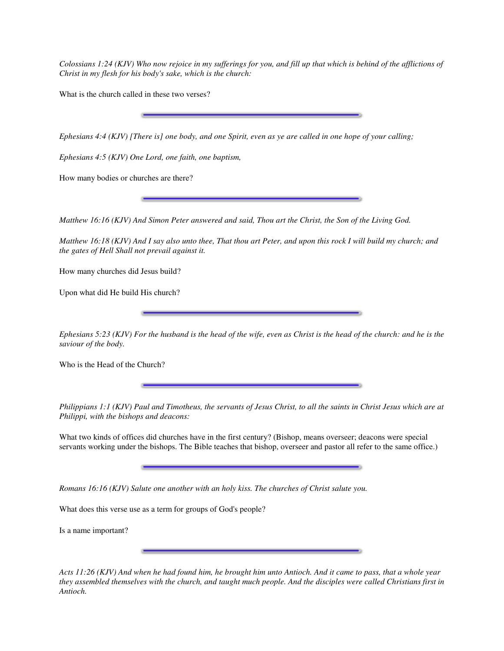Colossians 1:24 (KJV) Who now rejoice in my sufferings for you, and fill up that which is behind of the afflictions of *Christ in my flesh for his body's sake, which is the church:*

What is the church called in these two verses?

Ephesians 4:4 (KJV) [There is] one body, and one Spirit, even as ye are called in one hope of your calling;

*Ephesians 4:5 (KJV) One Lord, one faith, one baptism,*

How many bodies or churches are there?

Matthew 16:16 (KJV) And Simon Peter answered and said, Thou art the Christ, the Son of the Living God.

Matthew 16:18 (KJV) And I say also unto thee, That thou art Peter, and upon this rock I will build my church; and *the gates of Hell Shall not prevail against it.*

How many churches did Jesus build?

Upon what did He build His church?

Ephesians 5:23 (KJV) For the husband is the head of the wife, even as Christ is the head of the church: and he is the *saviour of the body.*

Who is the Head of the Church?

Philippians 1:1 (KJV) Paul and Timotheus, the servants of Jesus Christ, to all the saints in Christ Jesus which are at *Philippi, with the bishops and deacons:*

What two kinds of offices did churches have in the first century? (Bishop, means overseer; deacons were special servants working under the bishops. The Bible teaches that bishop, overseer and pastor all refer to the same office.)

*Romans 16:16 (KJV) Salute one another with an holy kiss. The churches of Christ salute you.*

What does this verse use as a term for groups of God's people?

Is a name important?

Acts 11:26 (KJV) And when he had found him, he brought him unto Antioch. And it came to pass, that a whole year they assembled themselves with the church, and taught much people. And the disciples were called Christians first in *Antioch.*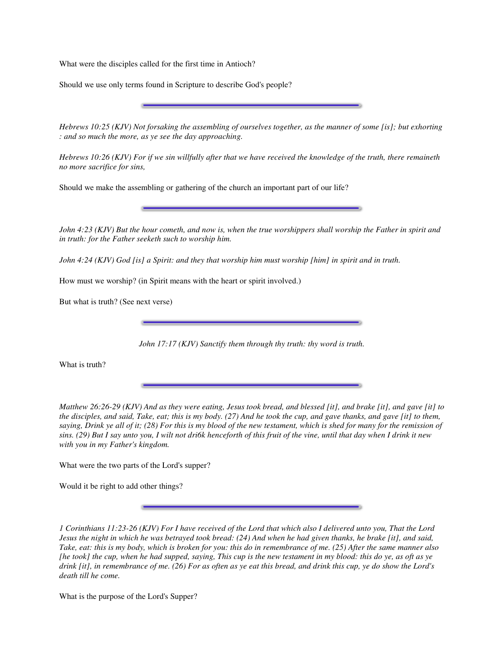What were the disciples called for the first time in Antioch?

Should we use only terms found in Scripture to describe God's people?

Hebrews 10:25 (KJV) Not forsaking the assembling of ourselves together, as the manner of some [is]; but exhorting *: and so much the more, as ye see the day approaching.*

Hebrews 10:26 (KJV) For if we sin willfully after that we have received the knowledge of the truth, there remaineth *no more sacrifice for sins,*

Should we make the assembling or gathering of the church an important part of our life?

John 4:23 (KJV) But the hour cometh, and now is, when the true worshippers shall worship the Father in spirit and *in truth: for the Father seeketh such to worship him.*

John 4:24 (KJV) God [is] a Spirit: and they that worship him must worship [him] in spirit and in truth.

How must we worship? (in Spirit means with the heart or spirit involved.)

But what is truth? (See next verse)

*John 17:17 (KJV) Sanctify them through thy truth: thy word is truth.*

What is truth?

Matthew 26:26-29 (KJV) And as they were eating, Jesus took bread, and blessed [it], and brake [it], and gave [it] to the disciples, and said, Take, eat; this is my body. (27) And he took the cup, and gave thanks, and gave [it] to them, saying, Drink ye all of it; (28) For this is my blood of the new testament, which is shed for many for the remission of sins. (29) But I say unto you, I wilt not dri6k henceforth of this fruit of the vine, until that day when I drink it new *with you in my Father's kingdom.*

What were the two parts of the Lord's supper?

Would it be right to add other things?

1 Corinthians 11:23-26 (KJV) For I have received of the Lord that which also I delivered unto you, That the Lord Jesus the night in which he was betrayed took bread: (24) And when he had given thanks, he brake [it], and said, Take, eat: this is my body, which is broken for you: this do in remembrance of me. (25) After the same manner also [he took] the cup, when he had supped, saying, This cup is the new testament in my blood: this do ye, as oft as ye drink [it], in remembrance of me. (26) For as often as ye eat this bread, and drink this cup, ye do show the Lord's *death till he come.*

What is the purpose of the Lord's Supper?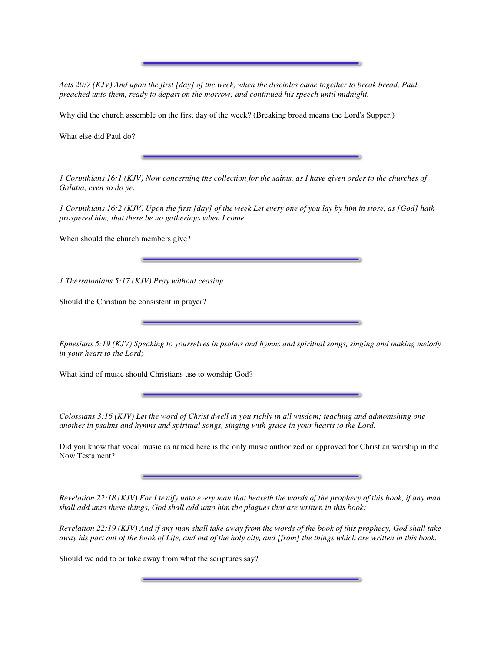Acts 20:7 (KJV) And upon the first [day] of the week, when the disciples came together to break bread, Paul *preached unto them, ready to depart on the morrow; and continued his speech until midnight.*

Why did the church assemble on the first day of the week? (Breaking broad means the Lord's Supper.)

What else did Paul do?

1 Corinthians 16:1 (KJV) Now concerning the collection for the saints, as I have given order to the churches of *Galatia, even so do ye.*

1 Corinthians 16:2 (KJV) Upon the first [day] of the week Let every one of you lay by him in store, as [God] hath *prospered him, that there be no gatherings when I come.*

When should the church members give?

*1 Thessalonians 5:17 (KJV) Pray without ceasing.*

Should the Christian be consistent in prayer?

Ephesians 5:19 (KJV) Speaking to yourselves in psalms and hymns and spiritual songs, singing and making melody *in your heart to the Lord;*

What kind of music should Christians use to worship God?

Colossians 3:16 (KJV) Let the word of Christ dwell in you richly in all wisdom; teaching and admonishing one *another in psalms and hymns and spiritual songs, singing with grace in your hearts to the Lord.*

Did you know that vocal music as named here is the only music authorized or approved for Christian worship in the Now Testament?

Revelation 22:18 (KJV) For I testify unto every man that heareth the words of the prophecy of this book, if any man *shall add unto these things, God shall add unto him the plagues that are written in this book:*

Revelation 22:19 (KJV) And if any man shall take away from the words of the book of this prophecy, God shall take away his part out of the book of Life, and out of the holy city, and [from] the things which are written in this book.

Should we add to or take away from what the scriptures say?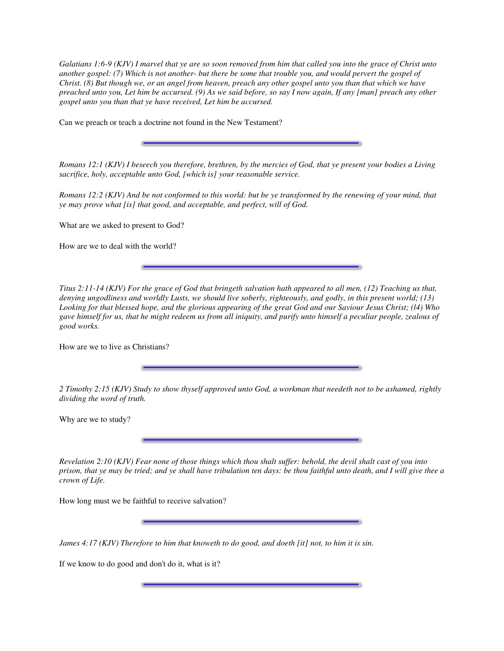Galatians 1:6-9 (KJV) I marvel that ye are so soon removed from him that called you into the grace of Christ unto another gospel: (7) Which is not another- but there be some that trouble you, and would pervert the gospel of Christ. (8) But though we, or an angel from heaven, preach any other gospel unto you than that which we have preached unto you, Let him be accursed. (9) As we said before, so say I now again, If any [man] preach any other *gospel unto you than that ye have received, Let him be accursed.*

Can we preach or teach a doctrine not found in the New Testament?

Romans 12:1 (KJV) I beseech you therefore, brethren, by the mercies of God, that ye present your bodies a Living *sacrifice, holy, acceptable unto God, [which is] your reasonable service.*

Romans 12:2 (KJV) And be not conformed to this world: but be ye transformed by the renewing of your mind, that *ye may prove what [is] that good, and acceptable, and perfect, will of God.*

What are we asked to present to God?

How are we to deal with the world?

Titus 2:11-14 (KJV) For the grace of God that bringeth salvation hath appeared to all men,  $(12)$  Teaching us that, denying ungodliness and worldly Lusts, we should live soberly, righteously, and godly, in this present world; (13) Looking for that blessed hope, and the glorious appearing of the great God and our Saviour Jesus Christ; (14) Who gave himself for us, that he might redeem us from all iniquity, and purify unto himself a peculiar people, zealous of *good works.*

How are we to live as Christians?

2 Timothy 2:15 (KJV) Study to show thyself approved unto God, a workman that needeth not to be ashamed, rightly *dividing the word of truth.*

Why are we to study?

Revelation 2:10 (KJV) Fear none of those things which thou shalt suffer: behold, the devil shalt cast of you into prison, that ye may be tried; and ye shall have tribulation ten days: be thou faithful unto death, and I will give thee a *crown of Life.*

How long must we be faithful to receive salvation?

James 4:17 (KJV) Therefore to him that knoweth to do good, and doeth [it] not, to him it is sin.

If we know to do good and don't do it, what is it?